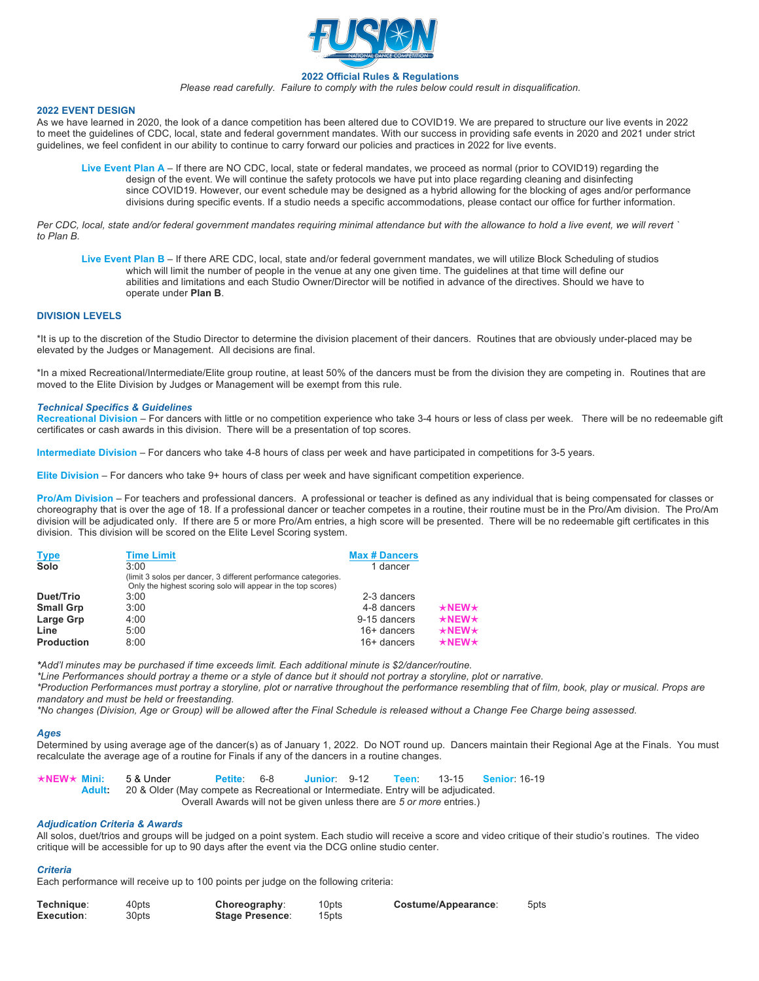

### **2022 Official Rules & Regulations**

*Please read carefully. Failure to comply with the rules below could result in disqualification.*

### **2022 EVENT DESIGN**

As we have learned in 2020, the look of a dance competition has been altered due to COVID19. We are prepared to structure our live events in 2022 to meet the guidelines of CDC, local, state and federal government mandates. With our success in providing safe events in 2020 and 2021 under strict guidelines, we feel confident in our ability to continue to carry forward our policies and practices in 2022 for live events.

**Live Event Plan A** – If there are NO CDC, local, state or federal mandates, we proceed as normal (prior to COVID19) regarding the design of the event. We will continue the safety protocols we have put into place regarding cleaning and disinfecting since COVID19. However, our event schedule may be designed as a hybrid allowing for the blocking of ages and/or performance divisions during specific events. If a studio needs a specific accommodations, please contact our office for further information.

*Per CDC, local, state and/or federal government mandates requiring minimal attendance but with the allowance to hold a live event, we will revert ` to Plan B.*

**Live Event Plan B** – If there ARE CDC, local, state and/or federal government mandates, we will utilize Block Scheduling of studios which will limit the number of people in the venue at any one given time. The guidelines at that time will define our abilities and limitations and each Studio Owner/Director will be notified in advance of the directives. Should we have to operate under **Plan B**.

## **DIVISION LEVELS**

\*It is up to the discretion of the Studio Director to determine the division placement of their dancers. Routines that are obviously under-placed may be elevated by the Judges or Management. All decisions are final.

\*In a mixed Recreational/Intermediate/Elite group routine, at least 50% of the dancers must be from the division they are competing in. Routines that are moved to the Elite Division by Judges or Management will be exempt from this rule.

### *Technical Specifics & Guidelines*

Recreational Division – For dancers with little or no competition experience who take 3-4 hours or less of class per week. There will be no redeemable gift certificates or cash awards in this division. There will be a presentation of top scores.

**Intermediate Division** – For dancers who take 4-8 hours of class per week and have participated in competitions for 3-5 years.

**Elite Division** – For dancers who take 9+ hours of class per week and have significant competition experience.

**Pro/Am Division** – For teachers and professional dancers. A professional or teacher is defined as any individual that is being compensated for classes or choreography that is over the age of 18. If a professional dancer or teacher competes in a routine, their routine must be in the Pro/Am division. The Pro/Am division will be adjudicated only. If there are 5 or more Pro/Am entries, a high score will be presented. There will be no redeemable gift certificates in this division. This division will be scored on the Elite Level Scoring system.

| <b>Type</b>       | <b>Time Limit</b>                                                                                                              | <b>Max # Dancers</b> |                     |
|-------------------|--------------------------------------------------------------------------------------------------------------------------------|----------------------|---------------------|
| Solo              | 3:00                                                                                                                           | 1 dancer             |                     |
|                   | (limit 3 solos per dancer, 3 different performance categories.<br>Only the highest scoring solo will appear in the top scores) |                      |                     |
| Duet/Trio         | 3:00                                                                                                                           | 2-3 dancers          |                     |
| <b>Small Grp</b>  | 3:00                                                                                                                           | 4-8 dancers          | $\star$ NEW $\star$ |
| Large Grp         | 4:00                                                                                                                           | 9-15 dancers         | $\star$ NEW $\star$ |
| Line              | 5:00                                                                                                                           | 16+ dancers          | $\star$ NEW $\star$ |
| <b>Production</b> | 8:00                                                                                                                           | 16+ dancers          | $\star$ NEW $\star$ |

*\*Add'l minutes may be purchased if time exceeds limit. Each additional minute is \$2/dancer/routine.*

*\*Line Performances should portray a theme or a style of dance but it should not portray a storyline, plot or narrative.*

*\*Production Performances must portray a storyline, plot or narrative throughout the performance resembling that of film, book, play or musical. Props are mandatory and must be held or freestanding.* 

*\*No changes (Division, Age or Group) will be allowed after the Final Schedule is released without a Change Fee Charge being assessed.*

# *Ages*

Determined by using average age of the dancer(s) as of January 1, 2022. Do NOT round up. Dancers maintain their Regional Age at the Finals. You must recalculate the average age of a routine for Finals if any of the dancers in a routine changes.

| $\star$ NEW $\star$ Mini: 5 & Under |                                                                                                   | Petite 6-8 |                                                                       |  | Junior 9-12 Teen: 13-15 Senior. 16-19 |
|-------------------------------------|---------------------------------------------------------------------------------------------------|------------|-----------------------------------------------------------------------|--|---------------------------------------|
|                                     | <b>Adult:</b> 20 & Older (May compete as Recreational or Intermediate. Entry will be adjudicated. |            |                                                                       |  |                                       |
|                                     |                                                                                                   |            | Overall Awards will not be given unless there are 5 or more entries.) |  |                                       |

### *Adjudication Criteria & Awards*

All solos, duet/trios and groups will be judged on a point system. Each studio will receive a score and video critique of their studio's routines. The video critique will be accessible for up to 90 days after the event via the DCG online studio center.

#### *Criteria*

Each performance will receive up to 100 points per judge on the following criteria:

| Technique: | 40pts | Choreography:          | 10pts | Costume/Appearance: | 5pts |
|------------|-------|------------------------|-------|---------------------|------|
| Execution: | 30pts | <b>Stage Presence:</b> | 15pts |                     |      |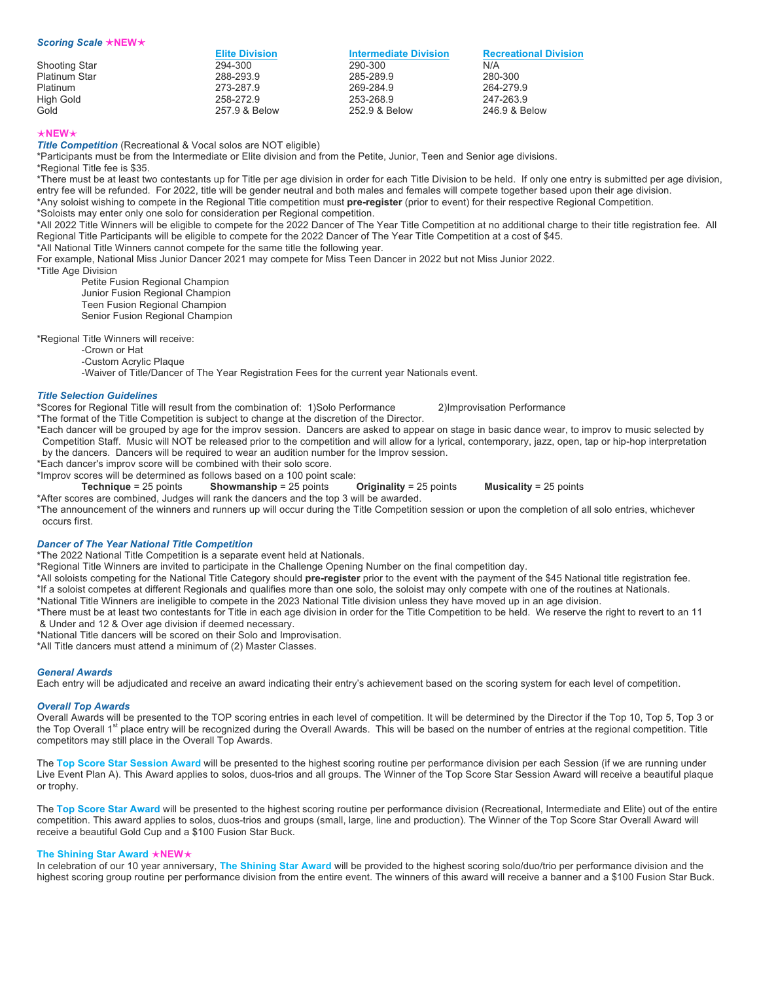| Scoring Scale $\star$ NEW $\star$ |                       |                              |                              |
|-----------------------------------|-----------------------|------------------------------|------------------------------|
|                                   | <b>Elite Division</b> | <b>Intermediate Division</b> | <b>Recreational Division</b> |
| Shooting Star                     | 294-300               | 290-300                      | N/A                          |
| Platinum Star                     | 288-293.9             | 285-289.9                    | 280-300                      |
| <b>Platinum</b>                   | 273-287.9             | 269-284.9                    | 264-279.9                    |
| High Gold                         | 258-272.9             | 253-268.9                    | 247-263.9                    |
| Gold                              | 257.9 & Below         | 252.9 & Below                | 246.9 & Below                |

# é**NEW**é

**Title Competition** (Recreational & Vocal solos are NOT eligible)

\*Participants must be from the Intermediate or Elite division and from the Petite, Junior, Teen and Senior age divisions.

\*Regional Title fee is \$35.

\*There must be at least two contestants up for Title per age division in order for each Title Division to be held. If only one entry is submitted per age division, entry fee will be refunded. For 2022, title will be gender neutral and both males and females will compete together based upon their age division. \*Any soloist wishing to compete in the Regional Title competition must **pre-register** (prior to event) for their respective Regional Competition.

\*Soloists may enter only one solo for consideration per Regional competition.

\*All 2022 Title Winners will be eligible to compete for the 2022 Dancer of The Year Title Competition at no additional charge to their title registration fee. All Regional Title Participants will be eligible to compete for the 2022 Dancer of The Year Title Competition at a cost of \$45.

\*All National Title Winners cannot compete for the same title the following year.

For example, National Miss Junior Dancer 2021 may compete for Miss Teen Dancer in 2022 but not Miss Junior 2022.

\*Title Age Division

Petite Fusion Regional Champion Junior Fusion Regional Champion Teen Fusion Regional Champion Senior Fusion Regional Champion

\*Regional Title Winners will receive:

-Crown or Hat

-Custom Acrylic Plaque

-Waiver of Title/Dancer of The Year Registration Fees for the current year Nationals event.

## *Title Selection Guidelines*

\*Scores for Regional Title will result from the combination of: 1)Solo Performance 2)Improvisation Performance

\*The format of the Title Competition is subject to change at the discretion of the Director.

\*Each dancer will be grouped by age for the improv session. Dancers are asked to appear on stage in basic dance wear, to improv to music selected by Competition Staff. Music will NOT be released prior to the competition and will allow for a lyrical, contemporary, jazz, open, tap or hip-hop interpretation by the dancers. Dancers will be required to wear an audition number for the Improv session.

\*Each dancer's improv score will be combined with their solo score.

\*Improv scores will be determined as follows based on a 100 point scale:

**Technique** = 25 points **Showmanship** = 25 points **Originality** = 25 points **Musicality** = 25 points

\*After scores are combined, Judges will rank the dancers and the top 3 will be awarded.

\*The announcement of the winners and runners up will occur during the Title Competition session or upon the completion of all solo entries, whichever occurs first.

# *Dancer of The Year National Title Competition*

\*The 2022 National Title Competition is a separate event held at Nationals.

\*Regional Title Winners are invited to participate in the Challenge Opening Number on the final competition day.

\*All soloists competing for the National Title Category should **pre-register** prior to the event with the payment of the \$45 National title registration fee. \*If a soloist competes at different Regionals and qualifies more than one solo, the soloist may only compete with one of the routines at Nationals.

\*National Title Winners are ineligible to compete in the 2023 National Title division unless they have moved up in an age division.

\*There must be at least two contestants for Title in each age division in order for the Title Competition to be held. We reserve the right to revert to an 11 & Under and 12 & Over age division if deemed necessary.

\*National Title dancers will be scored on their Solo and Improvisation.

\*All Title dancers must attend a minimum of (2) Master Classes.

# *General Awards*

Each entry will be adjudicated and receive an award indicating their entry's achievement based on the scoring system for each level of competition.

## *Overall Top Awards*

Overall Awards will be presented to the TOP scoring entries in each level of competition. It will be determined by the Director if the Top 10, Top 5, Top 3 or the Top Overall 1<sup>st</sup> place entry will be recognized during the Overall Awards. This will be based on the number of entries at the regional competition. Title competitors may still place in the Overall Top Awards.

The **Top Score Star Session Award** will be presented to the highest scoring routine per performance division per each Session (if we are running under Live Event Plan A). This Award applies to solos, duos-trios and all groups. The Winner of the Top Score Star Session Award will receive a beautiful plaque or trophy.

The Top Score Star Award will be presented to the highest scoring routine per performance division (Recreational, Intermediate and Elite) out of the entire competition. This award applies to solos, duos-trios and groups (small, large, line and production). The Winner of the Top Score Star Overall Award will receive a beautiful Gold Cup and a \$100 Fusion Star Buck.

# **The Shining Star Award** é**NEW**é

In celebration of our 10 year anniversary, **The Shining Star Award** will be provided to the highest scoring solo/duo/trio per performance division and the highest scoring group routine per performance division from the entire event. The winners of this award will receive a banner and a \$100 Fusion Star Buck.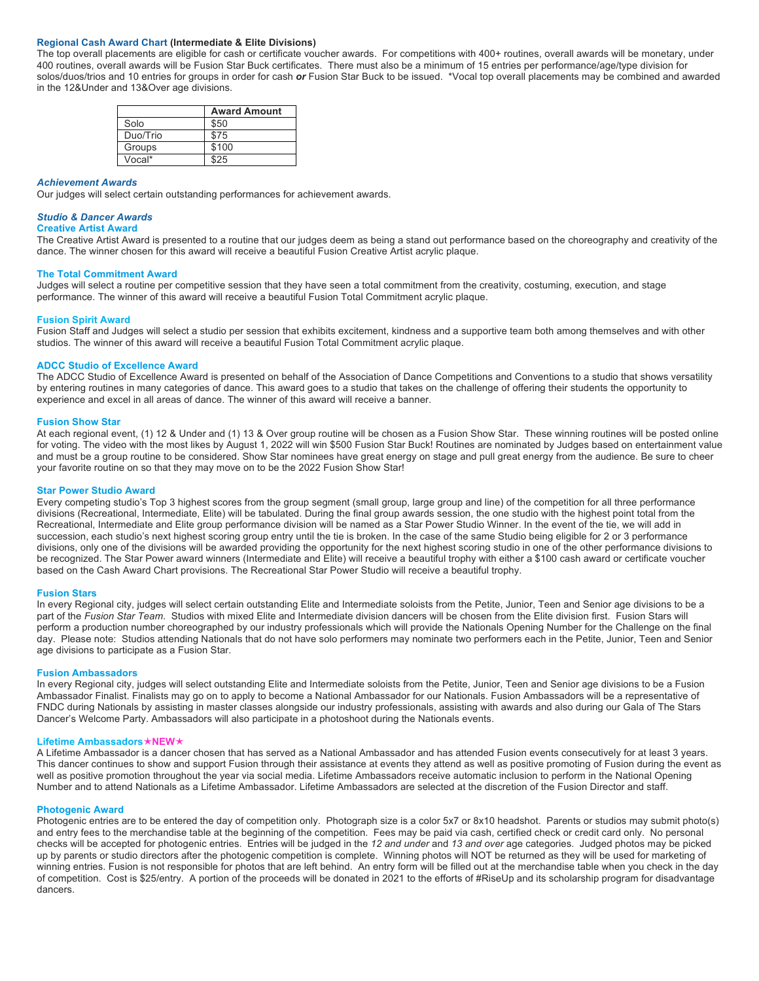# **Regional Cash Award Chart (Intermediate & Elite Divisions)**

The top overall placements are eligible for cash or certificate voucher awards. For competitions with 400+ routines, overall awards will be monetary, under 400 routines, overall awards will be Fusion Star Buck certificates. There must also be a minimum of 15 entries per performance/age/type division for solos/duos/trios and 10 entries for groups in order for cash *or* Fusion Star Buck to be issued. \*Vocal top overall placements may be combined and awarded in the 12&Under and 13&Over age divisions.

|          | <b>Award Amount</b> |
|----------|---------------------|
| Solo     | \$50                |
| Duo/Trio | \$75                |
| Groups   | \$100               |
| Vocal*   |                     |

#### *Achievement Awards*

Our judges will select certain outstanding performances for achievement awards.

#### *Studio & Dancer Awards*

#### **Creative Artist Award**

The Creative Artist Award is presented to a routine that our judges deem as being a stand out performance based on the choreography and creativity of the dance. The winner chosen for this award will receive a beautiful Fusion Creative Artist acrylic plaque.

## **The Total Commitment Award**

Judges will select a routine per competitive session that they have seen a total commitment from the creativity, costuming, execution, and stage performance. The winner of this award will receive a beautiful Fusion Total Commitment acrylic plaque.

### **Fusion Spirit Award**

Fusion Staff and Judges will select a studio per session that exhibits excitement, kindness and a supportive team both among themselves and with other studios. The winner of this award will receive a beautiful Fusion Total Commitment acrylic plaque.

### **ADCC Studio of Excellence Award**

The ADCC Studio of Excellence Award is presented on behalf of the Association of Dance Competitions and Conventions to a studio that shows versatility by entering routines in many categories of dance. This award goes to a studio that takes on the challenge of offering their students the opportunity to experience and excel in all areas of dance. The winner of this award will receive a banner.

#### **Fusion Show Star**

At each regional event, (1) 12 & Under and (1) 13 & Over group routine will be chosen as a Fusion Show Star. These winning routines will be posted online for voting. The video with the most likes by August 1, 2022 will win \$500 Fusion Star Buck! Routines are nominated by Judges based on entertainment value and must be a group routine to be considered. Show Star nominees have great energy on stage and pull great energy from the audience. Be sure to cheer your favorite routine on so that they may move on to be the 2022 Fusion Show Star!

#### **Star Power Studio Award**

Every competing studio's Top 3 highest scores from the group segment (small group, large group and line) of the competition for all three performance divisions (Recreational, Intermediate, Elite) will be tabulated. During the final group awards session, the one studio with the highest point total from the Recreational, Intermediate and Elite group performance division will be named as a Star Power Studio Winner. In the event of the tie, we will add in succession, each studio's next highest scoring group entry until the tie is broken. In the case of the same Studio being eligible for 2 or 3 performance divisions, only one of the divisions will be awarded providing the opportunity for the next highest scoring studio in one of the other performance divisions to be recognized. The Star Power award winners (Intermediate and Elite) will receive a beautiful trophy with either a \$100 cash award or certificate voucher based on the Cash Award Chart provisions. The Recreational Star Power Studio will receive a beautiful trophy.

#### **Fusion Stars**

In every Regional city, judges will select certain outstanding Elite and Intermediate soloists from the Petite, Junior, Teen and Senior age divisions to be a part of the *Fusion Star Team*. Studios with mixed Elite and Intermediate division dancers will be chosen from the Elite division first. Fusion Stars will perform a production number choreographed by our industry professionals which will provide the Nationals Opening Number for the Challenge on the final day. Please note: Studios attending Nationals that do not have solo performers may nominate two performers each in the Petite, Junior, Teen and Senior age divisions to participate as a Fusion Star.

### **Fusion Ambassadors**

In every Regional city, judges will select outstanding Elite and Intermediate soloists from the Petite, Junior, Teen and Senior age divisions to be a Fusion Ambassador Finalist. Finalists may go on to apply to become a National Ambassador for our Nationals. Fusion Ambassadors will be a representative of FNDC during Nationals by assisting in master classes alongside our industry professionals, assisting with awards and also during our Gala of The Stars Dancer's Welcome Party. Ambassadors will also participate in a photoshoot during the Nationals events.

#### **Lifetime Ambassadors**é**NEW**é

A Lifetime Ambassador is a dancer chosen that has served as a National Ambassador and has attended Fusion events consecutively for at least 3 years. This dancer continues to show and support Fusion through their assistance at events they attend as well as positive promoting of Fusion during the event as well as positive promotion throughout the year via social media. Lifetime Ambassadors receive automatic inclusion to perform in the National Opening Number and to attend Nationals as a Lifetime Ambassador. Lifetime Ambassadors are selected at the discretion of the Fusion Director and staff.

#### **Photogenic Award**

Photogenic entries are to be entered the day of competition only. Photograph size is a color 5x7 or 8x10 headshot. Parents or studios may submit photo(s) and entry fees to the merchandise table at the beginning of the competition. Fees may be paid via cash, certified check or credit card only. No personal checks will be accepted for photogenic entries. Entries will be judged in the *12 and under* and *13 and over* age categories. Judged photos may be picked up by parents or studio directors after the photogenic competition is complete. Winning photos will NOT be returned as they will be used for marketing of winning entries. Fusion is not responsible for photos that are left behind. An entry form will be filled out at the merchandise table when you check in the day of competition. Cost is \$25/entry. A portion of the proceeds will be donated in 2021 to the efforts of #RiseUp and its scholarship program for disadvantage dancers.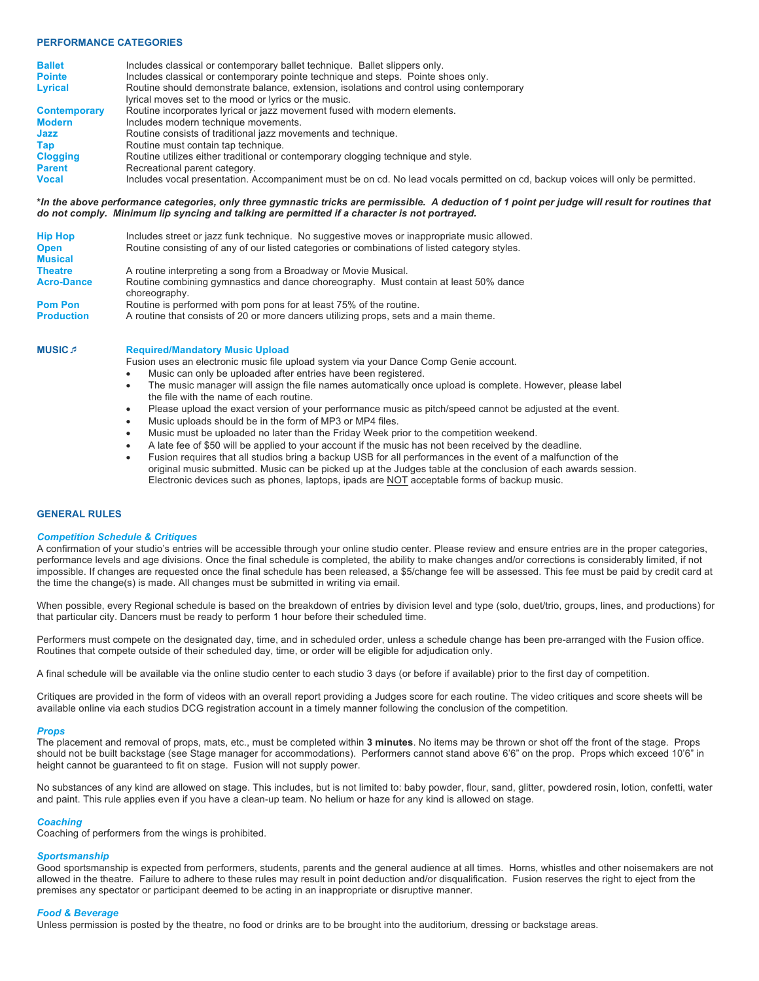# **PERFORMANCE CATEGORIES**

| <b>Ballet</b>       | Includes classical or contemporary ballet technique. Ballet slippers only.                                                      |
|---------------------|---------------------------------------------------------------------------------------------------------------------------------|
| <b>Pointe</b>       | Includes classical or contemporary pointe technique and steps. Pointe shoes only.                                               |
| <b>Lyrical</b>      | Routine should demonstrate balance, extension, isolations and control using contemporary                                        |
|                     | lyrical moves set to the mood or lyrics or the music.                                                                           |
| <b>Contemporary</b> | Routine incorporates lyrical or jazz movement fused with modern elements.                                                       |
| <b>Modern</b>       | Includes modern technique movements.                                                                                            |
| Jazz                | Routine consists of traditional jazz movements and technique.                                                                   |
| Tap                 | Routine must contain tap technique.                                                                                             |
| <b>Clogging</b>     | Routine utilizes either traditional or contemporary clogging technique and style.                                               |
| <b>Parent</b>       | Recreational parent category.                                                                                                   |
| <b>Vocal</b>        | Includes vocal presentation. Accompaniment must be on cd. No lead vocals permitted on cd, backup voices will only be permitted. |
|                     |                                                                                                                                 |

**\****In the above performance categories, only three gymnastic tricks are permissible. A deduction of 1 point per judge will result for routines that do not comply. Minimum lip syncing and talking are permitted if a character is not portrayed.*

| <b>Hip Hop</b>    | Includes street or jazz funk technique. No suggestive moves or inappropriate music allowed.           |  |  |  |
|-------------------|-------------------------------------------------------------------------------------------------------|--|--|--|
| <b>Open</b>       | Routine consisting of any of our listed categories or combinations of listed category styles.         |  |  |  |
| <b>Musical</b>    |                                                                                                       |  |  |  |
| <b>Theatre</b>    | A routine interpreting a song from a Broadway or Movie Musical.                                       |  |  |  |
| <b>Acro-Dance</b> | Routine combining gymnastics and dance choreography. Must contain at least 50% dance<br>choreography. |  |  |  |
| <b>Pom Pon</b>    | Routine is performed with pom pons for at least 75% of the routine.                                   |  |  |  |
| <b>Production</b> | A routine that consists of 20 or more dancers utilizing props, sets and a main theme.                 |  |  |  |

Fusion uses an electronic music file upload system via your Dance Comp Genie account.

- Music can only be uploaded after entries have been registered.
- The music manager will assign the file names automatically once upload is complete. However, please label the file with the name of each routine.
- Please upload the exact version of your performance music as pitch/speed cannot be adjusted at the event.
- Music uploads should be in the form of MP3 or MP4 files.
- Music must be uploaded no later than the Friday Week prior to the competition weekend.
- A late fee of \$50 will be applied to your account if the music has not been received by the deadline.
- Fusion requires that all studios bring a backup USB for all performances in the event of a malfunction of the original music submitted. Music can be picked up at the Judges table at the conclusion of each awards session. Electronic devices such as phones, laptops, ipads are NOT acceptable forms of backup music.

## **GENERAL RULES**

# *Competition Schedule & Critiques*

**MUSIC** $\beta$  **Required/Mandatory Music Upload** 

A confirmation of your studio's entries will be accessible through your online studio center. Please review and ensure entries are in the proper categories, performance levels and age divisions. Once the final schedule is completed, the ability to make changes and/or corrections is considerably limited, if not impossible. If changes are requested once the final schedule has been released, a \$5/change fee will be assessed. This fee must be paid by credit card at the time the change(s) is made. All changes must be submitted in writing via email.

When possible, every Regional schedule is based on the breakdown of entries by division level and type (solo, duet/trio, groups, lines, and productions) for that particular city. Dancers must be ready to perform 1 hour before their scheduled time.

Performers must compete on the designated day, time, and in scheduled order, unless a schedule change has been pre-arranged with the Fusion office. Routines that compete outside of their scheduled day, time, or order will be eligible for adjudication only.

A final schedule will be available via the online studio center to each studio 3 days (or before if available) prior to the first day of competition.

Critiques are provided in the form of videos with an overall report providing a Judges score for each routine. The video critiques and score sheets will be available online via each studios DCG registration account in a timely manner following the conclusion of the competition.

#### *Props*

The placement and removal of props, mats, etc., must be completed within **3 minutes**. No items may be thrown or shot off the front of the stage. Props should not be built backstage (see Stage manager for accommodations). Performers cannot stand above 6'6" on the prop. Props which exceed 10'6" in height cannot be guaranteed to fit on stage. Fusion will not supply power.

No substances of any kind are allowed on stage. This includes, but is not limited to: baby powder, flour, sand, glitter, powdered rosin, lotion, confetti, water and paint. This rule applies even if you have a clean-up team. No helium or haze for any kind is allowed on stage.

### *Coaching*

Coaching of performers from the wings is prohibited.

# *Sportsmanship*

Good sportsmanship is expected from performers, students, parents and the general audience at all times. Horns, whistles and other noisemakers are not allowed in the theatre. Failure to adhere to these rules may result in point deduction and/or disqualification. Fusion reserves the right to eject from the premises any spectator or participant deemed to be acting in an inappropriate or disruptive manner.

#### *Food & Beverage*

Unless permission is posted by the theatre, no food or drinks are to be brought into the auditorium, dressing or backstage areas.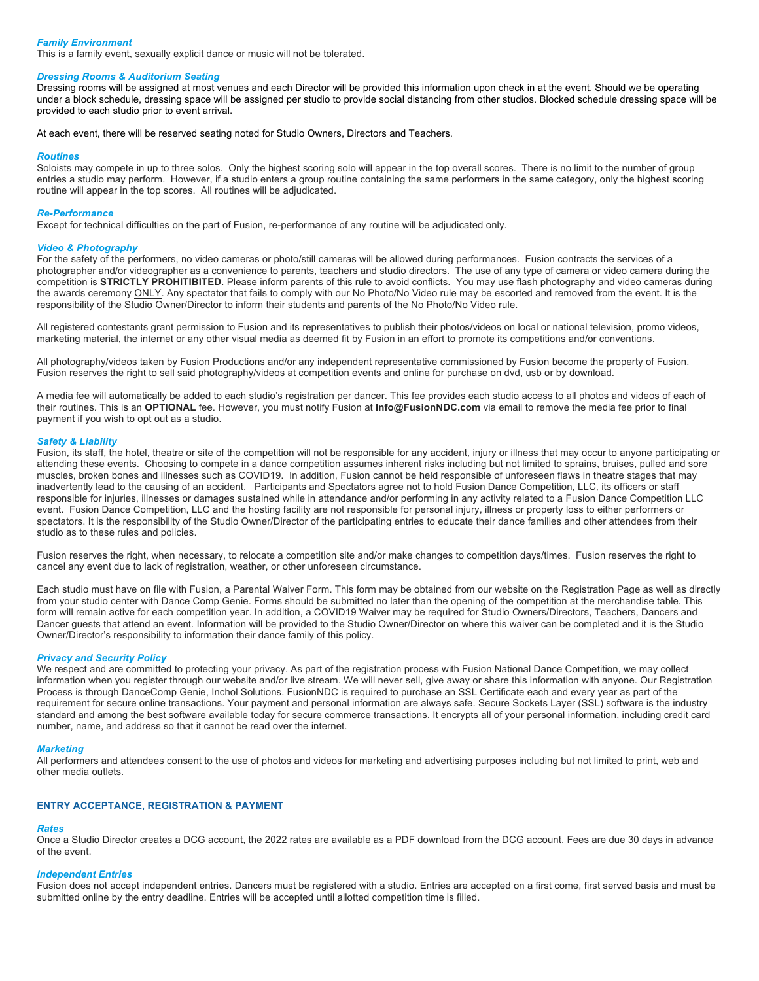# *Family Environment*

This is a family event, sexually explicit dance or music will not be tolerated.

# *Dressing Rooms & Auditorium Seating*

Dressing rooms will be assigned at most venues and each Director will be provided this information upon check in at the event. Should we be operating under a block schedule, dressing space will be assigned per studio to provide social distancing from other studios. Blocked schedule dressing space will be provided to each studio prior to event arrival.

At each event, there will be reserved seating noted for Studio Owners, Directors and Teachers.

#### *Routines*

Soloists may compete in up to three solos. Only the highest scoring solo will appear in the top overall scores. There is no limit to the number of group entries a studio may perform. However, if a studio enters a group routine containing the same performers in the same category, only the highest scoring routine will appear in the top scores. All routines will be adjudicated.

#### *Re-Performance*

Except for technical difficulties on the part of Fusion, re-performance of any routine will be adjudicated only.

### *Video & Photography*

For the safety of the performers, no video cameras or photo/still cameras will be allowed during performances. Fusion contracts the services of a photographer and/or videographer as a convenience to parents, teachers and studio directors. The use of any type of camera or video camera during the competition is **STRICTLY PROHITIBITED**. Please inform parents of this rule to avoid conflicts. You may use flash photography and video cameras during the awards ceremony ONLY. Any spectator that fails to comply with our No Photo/No Video rule may be escorted and removed from the event. It is the responsibility of the Studio Owner/Director to inform their students and parents of the No Photo/No Video rule.

All registered contestants grant permission to Fusion and its representatives to publish their photos/videos on local or national television, promo videos, marketing material, the internet or any other visual media as deemed fit by Fusion in an effort to promote its competitions and/or conventions.

All photography/videos taken by Fusion Productions and/or any independent representative commissioned by Fusion become the property of Fusion. Fusion reserves the right to sell said photography/videos at competition events and online for purchase on dvd, usb or by download.

A media fee will automatically be added to each studio's registration per dancer. This fee provides each studio access to all photos and videos of each of their routines. This is an **OPTIONAL** fee. However, you must notify Fusion at **Info@FusionNDC.com** via email to remove the media fee prior to final payment if you wish to opt out as a studio.

### *Safety & Liability*

Fusion, its staff, the hotel, theatre or site of the competition will not be responsible for any accident, injury or illness that may occur to anyone participating or attending these events. Choosing to compete in a dance competition assumes inherent risks including but not limited to sprains, bruises, pulled and sore muscles, broken bones and illnesses such as COVID19. In addition, Fusion cannot be held responsible of unforeseen flaws in theatre stages that may inadvertently lead to the causing of an accident. Participants and Spectators agree not to hold Fusion Dance Competition, LLC, its officers or staff responsible for injuries, illnesses or damages sustained while in attendance and/or performing in any activity related to a Fusion Dance Competition LLC event. Fusion Dance Competition, LLC and the hosting facility are not responsible for personal injury, illness or property loss to either performers or spectators. It is the responsibility of the Studio Owner/Director of the participating entries to educate their dance families and other attendees from their studio as to these rules and policies.

Fusion reserves the right, when necessary, to relocate a competition site and/or make changes to competition days/times. Fusion reserves the right to cancel any event due to lack of registration, weather, or other unforeseen circumstance.

Each studio must have on file with Fusion, a Parental Waiver Form. This form may be obtained from our website on the Registration Page as well as directly from your studio center with Dance Comp Genie. Forms should be submitted no later than the opening of the competition at the merchandise table. This form will remain active for each competition year. In addition, a COVID19 Waiver may be required for Studio Owners/Directors, Teachers, Dancers and Dancer guests that attend an event. Information will be provided to the Studio Owner/Director on where this waiver can be completed and it is the Studio Owner/Director's responsibility to information their dance family of this policy.

# *Privacy and Security Policy*

We respect and are committed to protecting your privacy. As part of the registration process with Fusion National Dance Competition, we may collect information when you register through our website and/or live stream. We will never sell, give away or share this information with anyone. Our Registration Process is through DanceComp Genie, Inchol Solutions. FusionNDC is required to purchase an SSL Certificate each and every year as part of the requirement for secure online transactions. Your payment and personal information are always safe. Secure Sockets Layer (SSL) software is the industry standard and among the best software available today for secure commerce transactions. It encrypts all of your personal information, including credit card number, name, and address so that it cannot be read over the internet.

#### *Marketing*

All performers and attendees consent to the use of photos and videos for marketing and advertising purposes including but not limited to print, web and other media outlets.

# **ENTRY ACCEPTANCE, REGISTRATION & PAYMENT**

#### *Rates*

Once a Studio Director creates a DCG account, the 2022 rates are available as a PDF download from the DCG account. Fees are due 30 days in advance of the event.

### *Independent Entries*

Fusion does not accept independent entries. Dancers must be registered with a studio. Entries are accepted on a first come, first served basis and must be submitted online by the entry deadline. Entries will be accepted until allotted competition time is filled.